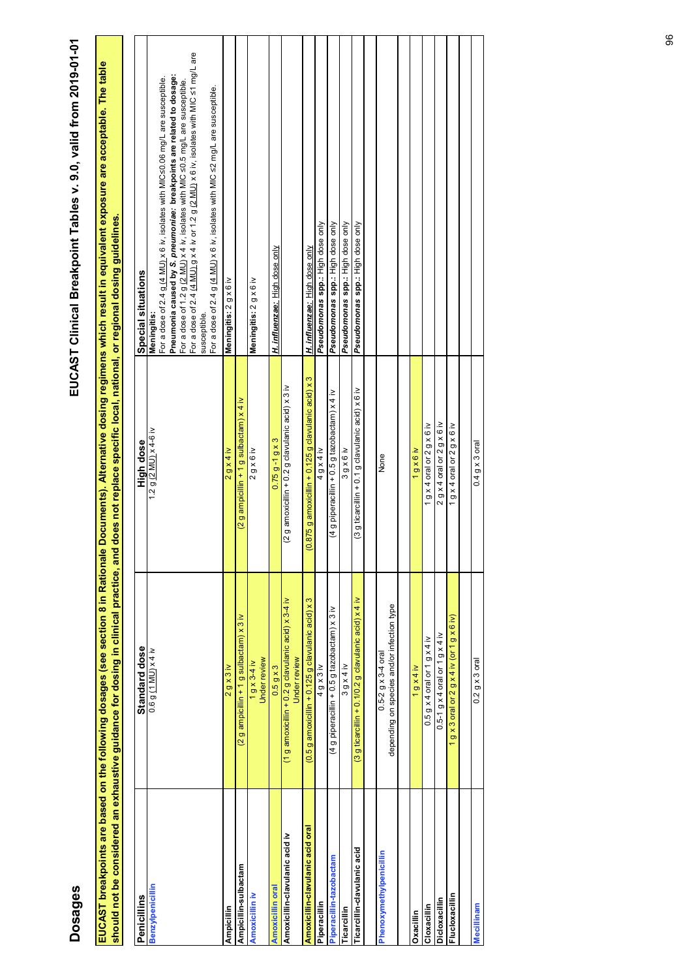### **Dosages**

### EUCAST Clinical Breakpoint Tables v. 9.0, valid from 2019-01-01 **EUCAST Clinical Breakpoint Tables v. 9.0, valid from 2019-01-01**

| e table                                                                               |                                           |
|---------------------------------------------------------------------------------------|-------------------------------------------|
|                                                                                       |                                           |
|                                                                                       |                                           |
| ミッシュ<br>上上                                                                            |                                           |
|                                                                                       |                                           |
| eptal                                                                                 |                                           |
|                                                                                       |                                           |
|                                                                                       |                                           |
|                                                                                       |                                           |
|                                                                                       |                                           |
|                                                                                       |                                           |
|                                                                                       |                                           |
|                                                                                       |                                           |
|                                                                                       |                                           |
|                                                                                       |                                           |
|                                                                                       |                                           |
|                                                                                       | <b>Bi Billerand</b>                       |
|                                                                                       |                                           |
|                                                                                       |                                           |
|                                                                                       |                                           |
|                                                                                       |                                           |
|                                                                                       |                                           |
| imens which result in equivalent exposure are accept                                  | oecific local, national, or regional do   |
|                                                                                       |                                           |
|                                                                                       |                                           |
|                                                                                       |                                           |
| i                                                                                     |                                           |
| <b>Separate</b>                                                                       | 、IOCal,IIauollal,                         |
|                                                                                       |                                           |
|                                                                                       |                                           |
|                                                                                       |                                           |
|                                                                                       |                                           |
| $\overline{\phantom{a}}$                                                              |                                           |
|                                                                                       |                                           |
| .<br>न                                                                                | <b>Sunder</b>                             |
|                                                                                       |                                           |
|                                                                                       |                                           |
| į                                                                                     |                                           |
| le Docu                                                                               | ad doe not ronigoe er<br>Dan Days Install |
|                                                                                       |                                           |
|                                                                                       |                                           |
|                                                                                       |                                           |
| ם<br>י                                                                                |                                           |
|                                                                                       |                                           |
| ֦֧֦֧֦֧֦֦֧֦֧֦֧֦֧֧֦֧֦֧֦֧֦֧֦֧֦֧֦֧֧֦֧֦֧֧֦֧֧֦֧֦֧֦֧֚֘֝֟֟֟֬֟֟֬֟֟֜֬֟֝֬֟֓֟֓֝֬֟֓֝֬֓֝֬֝֬֓֝֬֓֝֬֝֬ |                                           |
|                                                                                       |                                           |
|                                                                                       |                                           |
|                                                                                       |                                           |
|                                                                                       |                                           |
|                                                                                       |                                           |
|                                                                                       |                                           |
|                                                                                       |                                           |
|                                                                                       |                                           |
|                                                                                       |                                           |
|                                                                                       |                                           |
|                                                                                       |                                           |
|                                                                                       |                                           |
|                                                                                       |                                           |
|                                                                                       |                                           |
|                                                                                       |                                           |
| <b>Ceo</b> bay                                                                        |                                           |
|                                                                                       | i<br>S                                    |
|                                                                                       |                                           |
|                                                                                       |                                           |
|                                                                                       |                                           |
|                                                                                       |                                           |
|                                                                                       |                                           |
|                                                                                       |                                           |
|                                                                                       |                                           |
|                                                                                       |                                           |
|                                                                                       |                                           |

| Penicillins                      | Standard dose                                                        | High dose                                             | Special situations                                                                                                                                                                                                                                                                                                                                                                                                                                                            |
|----------------------------------|----------------------------------------------------------------------|-------------------------------------------------------|-------------------------------------------------------------------------------------------------------------------------------------------------------------------------------------------------------------------------------------------------------------------------------------------------------------------------------------------------------------------------------------------------------------------------------------------------------------------------------|
| Benzylpenicillin                 | $0.6$ g $(1$ MU) $x 4$ iv                                            | 1.2 g $(2 \text{ MU})$ x 4-6 iv                       | For a dose of 1.2 g ( <u>2 MU)</u> x 4 iv, isolates with MIC ≤0.5 mg/L are susceptible.<br>For a dose of 2.4 <u>(4 MU) g</u> x 4 iv or 1.2 g ( <u>2 MU)</u> x 6 iv, isolates with MIC ≤1 mg/L are<br>Pneumonia caused by S. pneumoniae: breakpoints are related to dosage:<br>For a dose of 2.4 g (4 MU) x 6 iv, isolates with MIC≤0.06 mg/L are susceptible.<br>For a dose of 2.4 g (4 MU) x 6 iv, isolates with MIC ≤2 mg/L are susceptible.<br>susceptible.<br>Meningitis: |
| Ampicillin                       | 2 g x 3 w                                                            | $2$ g x 4 iv                                          | Meningitis: 2 g x 6 iv                                                                                                                                                                                                                                                                                                                                                                                                                                                        |
| Ampicillin-sulbactam             | $(2 g$ ampicillin + 1 g sulbactam) x 3 iv                            | $(2 g$ ampicillin + 1 g sulbactam) x 4 iv             |                                                                                                                                                                                                                                                                                                                                                                                                                                                                               |
| Amoxicillin iv                   | Under review<br>$1 g x 3-4 iv$                                       | 2 g x 6 w                                             | Meningitis: 2 g x 6 iv                                                                                                                                                                                                                                                                                                                                                                                                                                                        |
| Amoxicillin oral                 | $0.5g \times 3$                                                      | $0.75$ g -1 g x 3                                     | H. <i>influenzae:</i> High dose only                                                                                                                                                                                                                                                                                                                                                                                                                                          |
| Amoxicillin-clavulanic acid iv   | $(1 g$ amoxicillin + 0.2 g clavulanic acid) x 3-4 iv<br>Under review | (2 g amoxicillin + 0.2 g clavulanic acid) x 3 iv      |                                                                                                                                                                                                                                                                                                                                                                                                                                                                               |
| Amoxicillin-clavulanic acid oral | $(0.5$ g amoxicillin + 0.125 g clavulanic acid) x 3                  | $(0.875 g$ amoxicillin + 0.125 g clavulanic acid) x 3 | H. influenzae: High dose only                                                                                                                                                                                                                                                                                                                                                                                                                                                 |
| Piperacillin                     | 4 g x 3 w                                                            | 4 g x 4 iv                                            | Pseudomonas spp.: High dose only                                                                                                                                                                                                                                                                                                                                                                                                                                              |
| Piperacillin-tazobactam          | (4 g piperacillin + 0.5 g tazobactam) x 3 iv                         | g piperacillin + 0.5 g tazobactam) x 4 iv<br>4        | Pseudomonas spp.: High dose only                                                                                                                                                                                                                                                                                                                                                                                                                                              |
| <b>Ticarcillin</b>               | $3$ g x 4 iv                                                         | $9 \times 6$ iv<br>S                                  | Pseudomonas spp.: High dose only                                                                                                                                                                                                                                                                                                                                                                                                                                              |
| Ticarcillin-clavulanic acid      | $(3 g$ ticarcillin + 0.1/0.2 g clavulanic acid) x 4 iv               | (3 g ticarcillin + 0.1 g clavulanic acid) x 6 iv      | Pseudomonas spp.: High dose only                                                                                                                                                                                                                                                                                                                                                                                                                                              |
|                                  |                                                                      |                                                       |                                                                                                                                                                                                                                                                                                                                                                                                                                                                               |
| Phenoxymethylpenicillin          | depending on species and/or infection type<br>$0.5 - 2$ g x 3-4 oral | None                                                  |                                                                                                                                                                                                                                                                                                                                                                                                                                                                               |
|                                  |                                                                      |                                                       |                                                                                                                                                                                                                                                                                                                                                                                                                                                                               |
| Oxacillin                        | $1$ g x 4 iv                                                         | $1$ g x 6 iv                                          |                                                                                                                                                                                                                                                                                                                                                                                                                                                                               |
| Cloxacillin                      | $0.5$ g x 4 oral or 1 g x 4 iv                                       | 1 g $\times$ 4 oral or 2 g $\times$ 6 iv              |                                                                                                                                                                                                                                                                                                                                                                                                                                                                               |
| Dicloxacillin                    | $0.5-1$ g x 4 oral or 1 g x 4 iv                                     | 2 g x 4 oral or 2 g x 6 W                             |                                                                                                                                                                                                                                                                                                                                                                                                                                                                               |
| Flucloxacillin                   | 1g x 3 oral or 2g x 4 iv (or 1 g x 6 iv)                             | 1 $g \times 4$ oral or $2 g \times 6 W$               |                                                                                                                                                                                                                                                                                                                                                                                                                                                                               |
|                                  |                                                                      |                                                       |                                                                                                                                                                                                                                                                                                                                                                                                                                                                               |
| Mecillinam                       | $0.2$ g x 3 oral                                                     | $0.4$ g x 3 oral                                      |                                                                                                                                                                                                                                                                                                                                                                                                                                                                               |
|                                  |                                                                      |                                                       |                                                                                                                                                                                                                                                                                                                                                                                                                                                                               |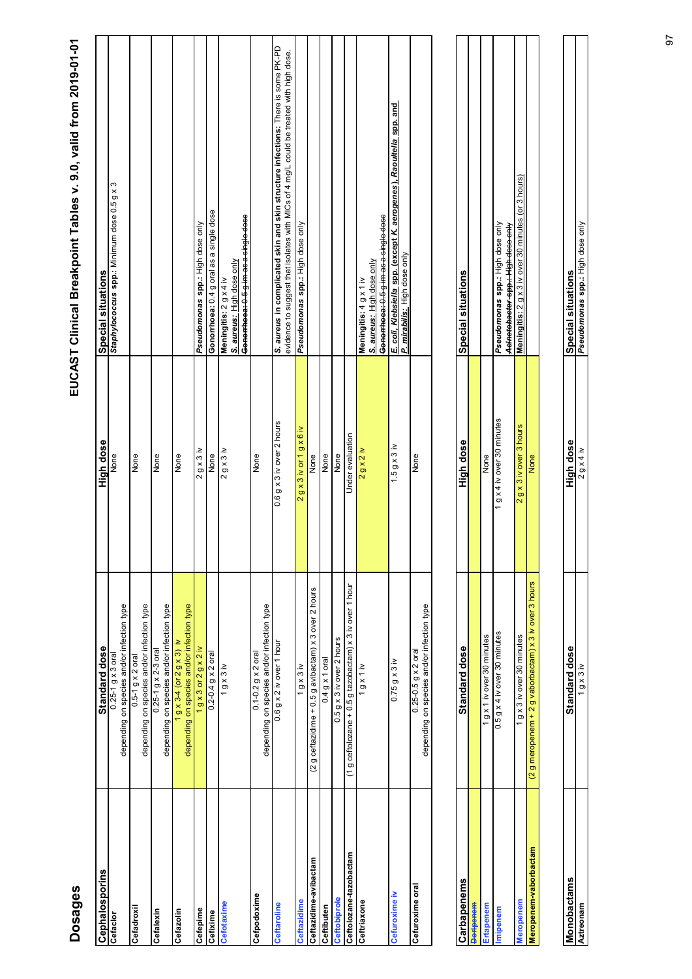### **Dosages**

# EUCAST Clinical Breakpoint Tables v. 9.0, valid from 2019-01-01 **Dosages EUCAST Clinical Breakpoint Tables v. 9.0, valid from 2019-01-01**

| Cephalosporins         | Standard dose                                                             | High dose                 | Special situations                                                                                  |
|------------------------|---------------------------------------------------------------------------|---------------------------|-----------------------------------------------------------------------------------------------------|
| Cefaclor               | depending on species and/or infection type<br>$0.25-1$ g x 3 oral         | None                      | Staphylococcus spp.: Minimum dose 0.5 g x 3                                                         |
| Cefadroxil             | depending on species and/or infection type<br>$0.5-1$ g x 2 oral          | None                      |                                                                                                     |
| Cefalexin              | $0.25 - 1$ g x 2-3 oral                                                   | None                      |                                                                                                     |
| Cefazolin              | depending on species and/or infection type<br>$1 g x 3-4 (or 2 g x 3)$ iv | None                      |                                                                                                     |
|                        | depending on species and/or infection type                                |                           |                                                                                                     |
| Cefepime               | 1 g x 3 or 2 g x 2 w                                                      | $2g \times 3i$            | Pseudomonas spp.: High dose only                                                                    |
| Cefixime               | $0.2 - 0.4$ g x 2 oral                                                    | None                      | Gonorrhoea: 0.4 g oral as a single dose                                                             |
| Cefotaxime             | 1 g x 3 W                                                                 | $2g\times 3W$             | Meningitis: 2 g x 4 iv                                                                              |
|                        |                                                                           |                           | Gonorrhoea: 0.5 g im as a single dose<br>S. aureus: High dose only                                  |
| Cefpodoxime            | depending on species and/or infection type<br>$0.1 - 0.2$ g x 2 oral      | None                      |                                                                                                     |
| Ceftaroline            | $0.6$ g x 2 iv over 1 hour                                                | 0.6 g x 3 iv over 2 hours | S. aureus in complicated skin and skin structure infections: There is some PK-PD                    |
|                        |                                                                           |                           | evidence to suggest that isolates with MICs of 4 mg/L could be treated with high dose.              |
| <b>Ceftazidime</b>     | 1 g x 3 w                                                                 | 2gx3ivor1gx6iv            | Pseudomonas spp.: High dose only                                                                    |
| Ceftazidime-avibactam  | $(2 g$ ceftazidime + 0.5 g avibactam) x 3 over 2 hours                    | None                      |                                                                                                     |
| Ceftibuten             | $0.4$ g x 1 oral                                                          | None                      |                                                                                                     |
| Ceftobiprole           | $0.5 g$ x 3 iv over 2 hours                                               | None                      |                                                                                                     |
| Ceftolozane-tazobactam | $(1 g$ ceftolozane + 0.5 g tazobactam) x 3 iv over 1 hour                 | Under evaluation          |                                                                                                     |
| Ceftriaxone            | N 1 x 0 1                                                                 | 2 g x 2 w                 | S. aureus: High dose only<br>Meningitis: 4 g x 1 iv                                                 |
|                        |                                                                           |                           | Gonorrhoea: 0.5 g im as a single dose                                                               |
| Cefuroxime iv          | $0.75$ g x 3 iv                                                           | $1.5 g \times 3 W$        | E. coli, Klebsiella spp. (except K. aerogenes), Raoultella spp. and<br>P. mirabilis: High dose only |
| Cefuroxime oral        | depending on species and/or infection type<br>$0.25 - 0.5$ g x 2 oral     | None                      |                                                                                                     |
|                        |                                                                           |                           |                                                                                                     |

| Carbapenems          | Standard dose                                         | High dose                       | Special situations                                                     |
|----------------------|-------------------------------------------------------|---------------------------------|------------------------------------------------------------------------|
| <b>IBBOROM</b>       |                                                       |                                 |                                                                        |
| rtapenem             | I g x 1 iv over 30 minutes                            | None                            |                                                                        |
| ipenem               | $0.5$ g $\times$ 4 iv over 30 minutes                 | $g \times 4$ iv over 30 minutes | Acinetobacter spp.: High dose only<br>Pseudomonas spp.: High dose only |
| eropenem             | 1 g x 3 iv over 30 minutes                            | 2 g x 3 iv over 3 hours         | <b>Meningitis:</b> $2$ g x 3 iv over 30 minutes (or 3 hours)           |
| eropenem-vaborbactam | (2 g meropenem + 2 g vaborbactam) x 3 iv over 3 hours | None                            |                                                                        |
|                      |                                                       |                                 |                                                                        |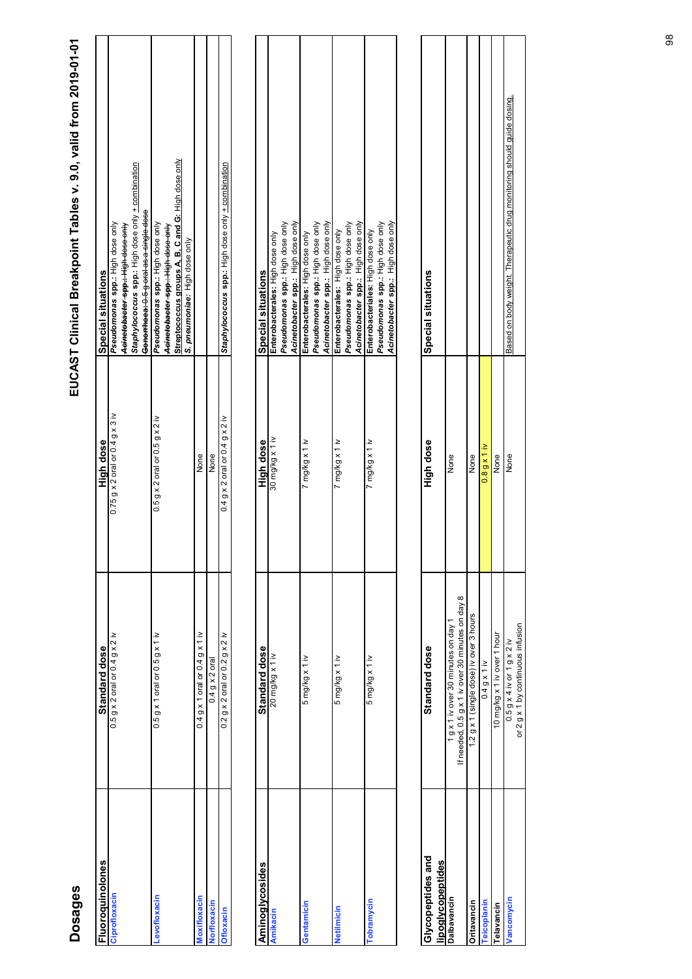### **Dosages**

# EUCAST Clinical Breakpoint Tables v. 9.0, valid from 2019-01-01 **Dosages EUCAST Clinical Breakpoint Tables v. 9.0, valid from 2019-01-01**

| Fluoroquinolones    | Standard dose                      | High dose                           | Special situations                                 |
|---------------------|------------------------------------|-------------------------------------|----------------------------------------------------|
| Ciprofloxacin       | $0.5$ g x 2 oral or $0.4$ g x 2 iv | $0.75$ g x 2 oral or $0.4$ g x 3 iv | Pseudomonas spp.: High dose only                   |
|                     |                                    |                                     | Acinetobacter spp.: High dose only                 |
|                     |                                    |                                     | Staphylococcus spp.: High dose only + combination  |
|                     |                                    |                                     | Generrhoea: 0.5 g oral as a single dose            |
| .evofloxacin        | $0.5$ g x 1 oral or $0.5$ g x 1 iv | $0.5$ g x 2 oral or $0.5$ g x 2 iv  | Pseudomonas spp.: High dose only                   |
|                     |                                    |                                     | Acinetobacter spp: High dose only                  |
|                     |                                    |                                     | Streptococcus groups A, B, C and G: High dose only |
|                     |                                    |                                     | S. preumoniae: High dose only                      |
| <b>loxifloxacin</b> | $0.4$ g x 1 oral or $0.4$ g x 1 iv | None                                |                                                    |
| orfloxacin          | $0.4$ g x 2 oral                   | None                                |                                                    |
| floxacin            | $0.2$ g x 2 oral or $0.2$ g x 2 iv | $0.4 g$ x 2 oral or $0.4 g$ x 2 iv  | Staphylococcus spp.: High dose only + combination  |
|                     |                                    |                                     |                                                    |

| <b>Aminoglycosides</b> | Standard dose<br>20 mg/kg x 1 iv | High dose       | Special situations                                                                                           |
|------------------------|----------------------------------|-----------------|--------------------------------------------------------------------------------------------------------------|
| mikacin                |                                  | 30 mg/kg x 1 iv | Pseudomonas spp.: High dose only<br>Acinetobacter spp.: High dose only<br>Enterobacterales: High dose only   |
| <b>Gentamicin</b>      | 5 mg/kg x 1 iv                   | 7 mg/kg x 1 iv  | Pseudomonas spp.: High dose only<br>Acinetobacter spp.: High dose only<br>Enterobacterales: High dose only   |
| letilmicin             | 5 mg/kg x 1 iv                   | 7 mg/kg x 1 iv  | A cinetobacter spp.: High dose only<br>Pseudomonas spp.: High dose only<br>Enterobacterales: High dose only  |
| obramycin              | 5 mg/kg x 1 iv                   | 7 mg/kg x 1 iv  | A cinetobacter spp.: High dose only<br>Pseudomonas spp.: High dose only<br>Enterobacteriales: High dose only |
|                        |                                  |                 |                                                                                                              |

| High dose<br>Standard dose                                                                      | Special situations                                                    |
|-------------------------------------------------------------------------------------------------|-----------------------------------------------------------------------|
| None<br>If needed, 0.5 g x 1 iv over 30 minutes on day 8<br>1 g x 1 iv over 30 minutes on day 1 |                                                                       |
| 1.2 g x 1 (single dose) iv over 3 hours                                                         |                                                                       |
| $0.4$ g x 1 iv                                                                                  |                                                                       |
| 10 mg/kg x 1 iv over 1 hour                                                                     |                                                                       |
| or 2 g x 1 by continuous infusion<br>$0.5$ g x 4 iv or 1 g x 2 iv                               | Based on body weight. Therapeutic drug monitoring should guide dosing |
|                                                                                                 | $0.8$ g x 1 iv<br>None<br>None<br>None                                |